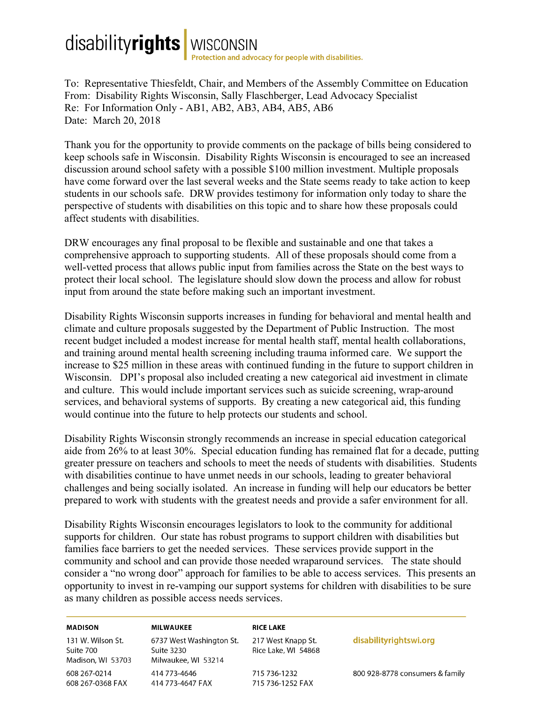## disabilityrights | WISCONSIN<br>Protection and advocacy for people with disabilities.

To: Representative Thiesfeldt, Chair, and Members of the Assembly Committee on Education From: Disability Rights Wisconsin, Sally Flaschberger, Lead Advocacy Specialist Re: For Information Only - AB1, AB2, AB3, AB4, AB5, AB6 Date: March 20, 2018

Thank you for the opportunity to provide comments on the package of bills being considered to keep schools safe in Wisconsin. Disability Rights Wisconsin is encouraged to see an increased discussion around school safety with a possible \$100 million investment. Multiple proposals have come forward over the last several weeks and the State seems ready to take action to keep students in our schools safe. DRW provides testimony for information only today to share the perspective of students with disabilities on this topic and to share how these proposals could affect students with disabilities.

DRW encourages any final proposal to be flexible and sustainable and one that takes a comprehensive approach to supporting students. All of these proposals should come from a well-vetted process that allows public input from families across the State on the best ways to protect their local school. The legislature should slow down the process and allow for robust input from around the state before making such an important investment.

Disability Rights Wisconsin supports increases in funding for behavioral and mental health and climate and culture proposals suggested by the Department of Public Instruction. The most recent budget included a modest increase for mental health staff, mental health collaborations, and training around mental health screening including trauma informed care. We support the increase to \$25 million in these areas with continued funding in the future to support children in Wisconsin. DPI's proposal also included creating a new categorical aid investment in climate and culture. This would include important services such as suicide screening, wrap-around services, and behavioral systems of supports. By creating a new categorical aid, this funding would continue into the future to help protects our students and school.

Disability Rights Wisconsin strongly recommends an increase in special education categorical aide from 26% to at least 30%. Special education funding has remained flat for a decade, putting greater pressure on teachers and schools to meet the needs of students with disabilities. Students with disabilities continue to have unmet needs in our schools, leading to greater behavioral challenges and being socially isolated. An increase in funding will help our educators be better prepared to work with students with the greatest needs and provide a safer environment for all.

Disability Rights Wisconsin encourages legislators to look to the community for additional supports for children. Our state has robust programs to support children with disabilities but families face barriers to get the needed services. These services provide support in the community and school and can provide those needed wraparound services. The state should consider a "no wrong door" approach for families to be able to access services. This presents an opportunity to invest in re-vamping our support systems for children with disabilities to be sure as many children as possible access needs services.

| <b>MADISON</b>                                      | <b>MILWAUKEE</b>                                              | <b>RICE LAKE</b>                          |                                 |
|-----------------------------------------------------|---------------------------------------------------------------|-------------------------------------------|---------------------------------|
| 131 W. Wilson St.<br>Suite 700<br>Madison, WI 53703 | 6737 West Washington St.<br>Suite 3230<br>Milwaukee, WI 53214 | 217 West Knapp St.<br>Rice Lake, WI 54868 | disabilityrightswi.org          |
| 608 267-0214                                        | 414 773-4646                                                  | 715 736-1232                              | 800 928-8778 consumers & family |
| 608 267-0368 FAX                                    | 414 773-4647 FAX                                              | 715 736-1252 FAX                          |                                 |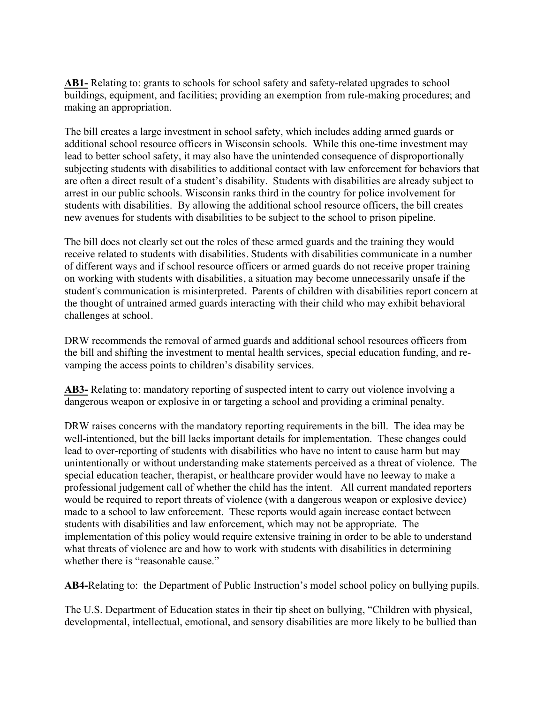AB1- Relating to: grants to schools for school safety and safety-related upgrades to school buildings, equipment, and facilities; providing an exemption from rule-making procedures; and making an appropriation.

The bill creates a large investment in school safety, which includes adding armed guards or additional school resource officers in Wisconsin schools. While this one-time investment may lead to better school safety, it may also have the unintended consequence of disproportionally subjecting students with disabilities to additional contact with law enforcement for behaviors that are often a direct result of a student's disability. Students with disabilities are already subject to arrest in our public schools. Wisconsin ranks third in the country for police involvement for students with disabilities. By allowing the additional school resource officers, the bill creates new avenues for students with disabilities to be subject to the school to prison pipeline.

The bill does not clearly set out the roles of these armed guards and the training they would receive related to students with disabilities. Students with disabilities communicate in a number of different ways and if school resource officers or armed guards do not receive proper training on working with students with disabilities, a situation may become unnecessarily unsafe if the student's communication is misinterpreted. Parents of children with disabilities report concern at the thought of untrained armed guards interacting with their child who may exhibit behavioral challenges at school.

DRW recommends the removal of armed guards and additional school resources officers from the bill and shifting the investment to mental health services, special education funding, and revamping the access points to children's disability services.

**AB3-** Relating to: mandatory reporting of suspected intent to carry out violence involving a dangerous weapon or explosive in or targeting a school and providing a criminal penalty.

DRW raises concerns with the mandatory reporting requirements in the bill. The idea may be well-intentioned, but the bill lacks important details for implementation. These changes could lead to over-reporting of students with disabilities who have no intent to cause harm but may unintentionally or without understanding make statements perceived as a threat of violence. The special education teacher, therapist, or healthcare provider would have no leeway to make a professional judgement call of whether the child has the intent. All current mandated reporters would be required to report threats of violence (with a dangerous weapon or explosive device) made to a school to law enforcement. These reports would again increase contact between students with disabilities and law enforcement, which may not be appropriate. The implementation of this policy would require extensive training in order to be able to understand what threats of violence are and how to work with students with disabilities in determining whether there is "reasonable cause."

**AB4-**Relating to: the Department of Public Instruction's model school policy on bullying pupils.

The U.S. Department of Education states in their tip sheet on bullying, "Children with physical, developmental, intellectual, emotional, and sensory disabilities are more likely to be bullied than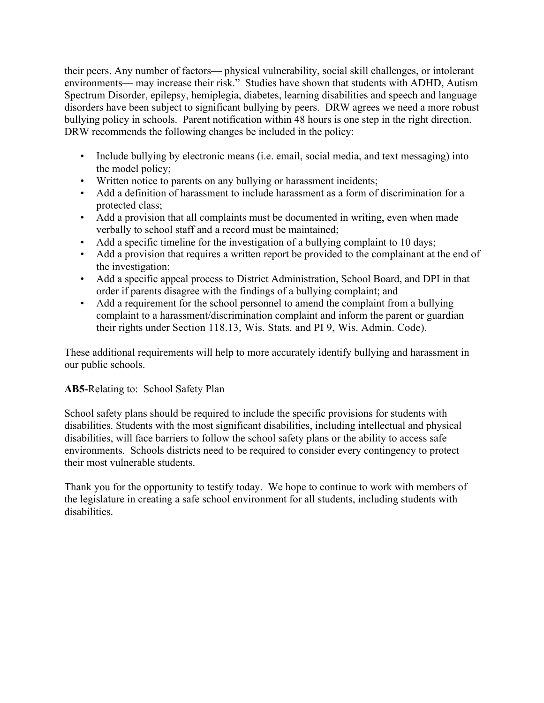their peers. Any number of factors— physical vulnerability, social skill challenges, or intolerant environments— may increase their risk." Studies have shown that students with ADHD, Autism Spectrum Disorder, epilepsy, hemiplegia, diabetes, learning disabilities and speech and language disorders have been subject to significant bullying by peers. DRW agrees we need a more robust bullying policy in schools. Parent notification within 48 hours is one step in the right direction. DRW recommends the following changes be included in the policy:

- Include bullying by electronic means (i.e. email, social media, and text messaging) into the model policy;
- Written notice to parents on any bullying or harassment incidents;
- Add a definition of harassment to include harassment as a form of discrimination for a protected class;
- Add a provision that all complaints must be documented in writing, even when made verbally to school staff and a record must be maintained;
- Add a specific timeline for the investigation of a bullying complaint to 10 days;
- Add a provision that requires a written report be provided to the complainant at the end of the investigation;
- Add a specific appeal process to District Administration, School Board, and DPI in that order if parents disagree with the findings of a bullying complaint; and
- Add a requirement for the school personnel to amend the complaint from a bullying complaint to a harassment/discrimination complaint and inform the parent or guardian their rights under Section 118.13, Wis. Stats. and PI 9, Wis. Admin. Code).

These additional requirements will help to more accurately identify bullying and harassment in our public schools.

## **AB5-**Relating to: School Safety Plan

School safety plans should be required to include the specific provisions for students with disabilities. Students with the most significant disabilities, including intellectual and physical disabilities, will face barriers to follow the school safety plans or the ability to access safe environments. Schools districts need to be required to consider every contingency to protect their most vulnerable students.

Thank you for the opportunity to testify today. We hope to continue to work with members of the legislature in creating a safe school environment for all students, including students with disabilities.